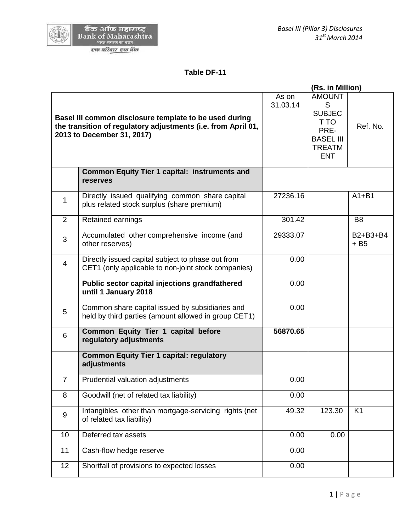## **Table DF-11**

|                                                                                                                                                       |                                                                                                          |                   | (Rs. in Million)                                                                                       |                      |
|-------------------------------------------------------------------------------------------------------------------------------------------------------|----------------------------------------------------------------------------------------------------------|-------------------|--------------------------------------------------------------------------------------------------------|----------------------|
| Basel III common disclosure template to be used during<br>the transition of regulatory adjustments (i.e. from April 01,<br>2013 to December 31, 2017) |                                                                                                          | As on<br>31.03.14 | <b>AMOUNT</b><br>S<br><b>SUBJEC</b><br>T TO<br>PRE-<br><b>BASEL III</b><br><b>TREATM</b><br><b>ENT</b> | Ref. No.             |
|                                                                                                                                                       | <b>Common Equity Tier 1 capital: instruments and</b><br><b>reserves</b>                                  |                   |                                                                                                        |                      |
| 1                                                                                                                                                     | Directly issued qualifying common share capital<br>plus related stock surplus (share premium)            | 27236.16          |                                                                                                        | $A1 + B1$            |
| $\overline{2}$                                                                                                                                        | Retained earnings                                                                                        | 301.42            |                                                                                                        | B <sub>8</sub>       |
| 3                                                                                                                                                     | Accumulated other comprehensive income (and<br>other reserves)                                           | 29333.07          |                                                                                                        | $B2+B3+B4$<br>$+ B5$ |
| $\overline{4}$                                                                                                                                        | Directly issued capital subject to phase out from<br>CET1 (only applicable to non-joint stock companies) | 0.00              |                                                                                                        |                      |
|                                                                                                                                                       | Public sector capital injections grandfathered<br>until 1 January 2018                                   | 0.00              |                                                                                                        |                      |
| 5                                                                                                                                                     | Common share capital issued by subsidiaries and<br>held by third parties (amount allowed in group CET1)  | 0.00              |                                                                                                        |                      |
| 6                                                                                                                                                     | Common Equity Tier 1 capital before<br>regulatory adjustments                                            | 56870.65          |                                                                                                        |                      |
|                                                                                                                                                       | <b>Common Equity Tier 1 capital: regulatory</b><br>adjustments                                           |                   |                                                                                                        |                      |
| $\overline{7}$                                                                                                                                        | Prudential valuation adjustments                                                                         | 0.00              |                                                                                                        |                      |
| 8                                                                                                                                                     | Goodwill (net of related tax liability)                                                                  | 0.00              |                                                                                                        |                      |
| 9                                                                                                                                                     | Intangibles other than mortgage-servicing rights (net<br>of related tax liability)                       | 49.32             | 123.30                                                                                                 | K <sub>1</sub>       |
| 10                                                                                                                                                    | Deferred tax assets                                                                                      | 0.00              | 0.00                                                                                                   |                      |
| 11                                                                                                                                                    | Cash-flow hedge reserve                                                                                  | 0.00              |                                                                                                        |                      |
| 12 <sup>2</sup>                                                                                                                                       | Shortfall of provisions to expected losses                                                               | 0.00              |                                                                                                        |                      |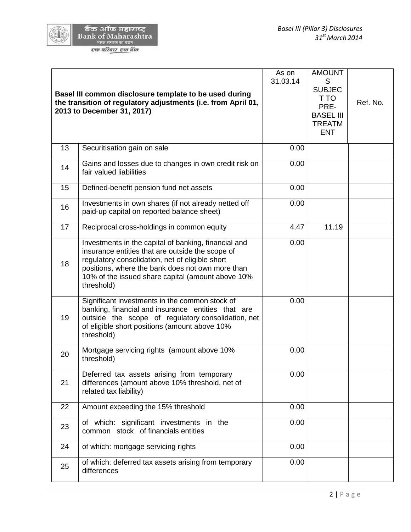|                     | बैक ऑफ महाराष्ट्र          |
|---------------------|----------------------------|
|                     | <b>Bank of Maharashtra</b> |
| भारत सरकार का उद्यम |                            |

एक परि<u>वार एक बैंक</u>

|    | Basel III common disclosure template to be used during<br>the transition of regulatory adjustments (i.e. from April 01,<br>2013 to December 31, 2017)                                                                                                                              | As on<br>31.03.14 | <b>AMOUNT</b><br>S<br><b>SUBJEC</b><br>T TO<br>PRE-<br><b>BASEL III</b><br><b>TREATM</b><br><b>ENT</b> | Ref. No. |
|----|------------------------------------------------------------------------------------------------------------------------------------------------------------------------------------------------------------------------------------------------------------------------------------|-------------------|--------------------------------------------------------------------------------------------------------|----------|
| 13 | Securitisation gain on sale                                                                                                                                                                                                                                                        | 0.00              |                                                                                                        |          |
| 14 | Gains and losses due to changes in own credit risk on<br>fair valued liabilities                                                                                                                                                                                                   | 0.00              |                                                                                                        |          |
| 15 | Defined-benefit pension fund net assets                                                                                                                                                                                                                                            | 0.00              |                                                                                                        |          |
| 16 | Investments in own shares (if not already netted off<br>paid-up capital on reported balance sheet)                                                                                                                                                                                 | 0.00              |                                                                                                        |          |
| 17 | Reciprocal cross-holdings in common equity                                                                                                                                                                                                                                         | 4.47              | 11.19                                                                                                  |          |
| 18 | Investments in the capital of banking, financial and<br>insurance entities that are outside the scope of<br>regulatory consolidation, net of eligible short<br>positions, where the bank does not own more than<br>10% of the issued share capital (amount above 10%<br>threshold) | 0.00              |                                                                                                        |          |
| 19 | Significant investments in the common stock of<br>banking, financial and insurance entities that are<br>outside the scope of regulatory consolidation, net<br>of eligible short positions (amount above 10%<br>threshold)                                                          | 0.00              |                                                                                                        |          |
| 20 | Mortgage servicing rights (amount above 10%<br>threshold)                                                                                                                                                                                                                          | 0.00              |                                                                                                        |          |
| 21 | Deferred tax assets arising from temporary<br>differences (amount above 10% threshold, net of<br>related tax liability)                                                                                                                                                            | 0.00              |                                                                                                        |          |
| 22 | Amount exceeding the 15% threshold                                                                                                                                                                                                                                                 | 0.00              |                                                                                                        |          |
| 23 | of which: significant investments in the<br>common stock of financials entities                                                                                                                                                                                                    | 0.00              |                                                                                                        |          |
| 24 | of which: mortgage servicing rights                                                                                                                                                                                                                                                | 0.00              |                                                                                                        |          |
| 25 | of which: deferred tax assets arising from temporary<br>differences                                                                                                                                                                                                                | 0.00              |                                                                                                        |          |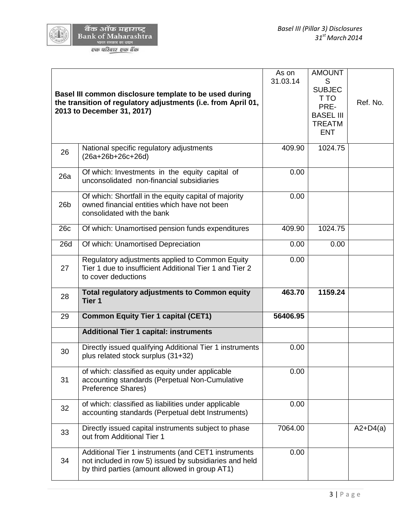|                 | Basel III common disclosure template to be used during<br>the transition of regulatory adjustments (i.e. from April 01,<br>2013 to December 31, 2017)           | As on<br>31.03.14 | <b>AMOUNT</b><br>S<br><b>SUBJEC</b><br>T TO<br>PRE-<br><b>BASEL III</b><br><b>TREATM</b><br><b>ENT</b> | Ref. No.   |
|-----------------|-----------------------------------------------------------------------------------------------------------------------------------------------------------------|-------------------|--------------------------------------------------------------------------------------------------------|------------|
| 26              | National specific regulatory adjustments<br>$(26a+26b+26c+26d)$                                                                                                 | 409.90            | 1024.75                                                                                                |            |
| 26a             | Of which: Investments in the equity capital of<br>unconsolidated non-financial subsidiaries                                                                     | 0.00              |                                                                                                        |            |
| 26 <sub>b</sub> | Of which: Shortfall in the equity capital of majority<br>owned financial entities which have not been<br>consolidated with the bank                             | 0.00              |                                                                                                        |            |
| 26c             | Of which: Unamortised pension funds expenditures                                                                                                                | 409.90            | 1024.75                                                                                                |            |
| 26d             | Of which: Unamortised Depreciation                                                                                                                              | 0.00              | 0.00                                                                                                   |            |
| 27              | Regulatory adjustments applied to Common Equity<br>Tier 1 due to insufficient Additional Tier 1 and Tier 2<br>to cover deductions                               | 0.00              |                                                                                                        |            |
| 28              | <b>Total regulatory adjustments to Common equity</b><br>Tier 1                                                                                                  | 463.70            | 1159.24                                                                                                |            |
| 29              | <b>Common Equity Tier 1 capital (CET1)</b>                                                                                                                      | 56406.95          |                                                                                                        |            |
|                 | <b>Additional Tier 1 capital: instruments</b>                                                                                                                   |                   |                                                                                                        |            |
| 30              | Directly issued qualifying Additional Tier 1 instruments<br>plus related stock surplus (31+32)                                                                  | 0.00              |                                                                                                        |            |
| 31              | of which: classified as equity under applicable<br>accounting standards (Perpetual Non-Cumulative<br>Preference Shares)                                         | 0.00              |                                                                                                        |            |
| 32              | of which: classified as liabilities under applicable<br>accounting standards (Perpetual debt Instruments)                                                       | 0.00              |                                                                                                        |            |
| 33              | Directly issued capital instruments subject to phase<br>out from Additional Tier 1                                                                              | 7064.00           |                                                                                                        | $A2+D4(a)$ |
| 34              | Additional Tier 1 instruments (and CET1 instruments<br>not included in row 5) issued by subsidiaries and held<br>by third parties (amount allowed in group AT1) | 0.00              |                                                                                                        |            |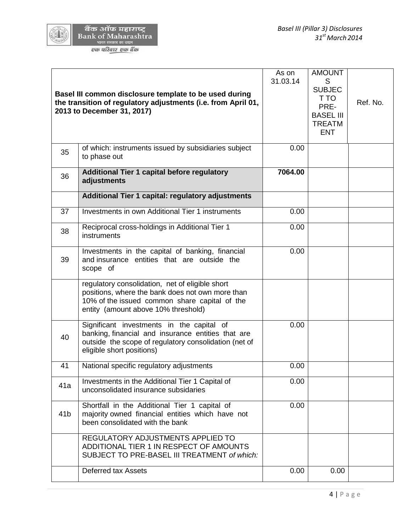|                 | Basel III common disclosure template to be used during<br>the transition of regulatory adjustments (i.e. from April 01,<br>2013 to December 31, 2017)                                       | As on<br>31.03.14 | <b>AMOUNT</b><br>S<br><b>SUBJEC</b><br>T TO<br>PRE-<br><b>BASEL III</b><br><b>TREATM</b><br><b>ENT</b> | Ref. No. |
|-----------------|---------------------------------------------------------------------------------------------------------------------------------------------------------------------------------------------|-------------------|--------------------------------------------------------------------------------------------------------|----------|
| 35              | of which: instruments issued by subsidiaries subject<br>to phase out                                                                                                                        | 0.00              |                                                                                                        |          |
| 36              | <b>Additional Tier 1 capital before regulatory</b><br>adjustments                                                                                                                           | 7064.00           |                                                                                                        |          |
|                 | Additional Tier 1 capital: regulatory adjustments                                                                                                                                           |                   |                                                                                                        |          |
| 37              | Investments in own Additional Tier 1 instruments                                                                                                                                            | 0.00              |                                                                                                        |          |
| 38              | Reciprocal cross-holdings in Additional Tier 1<br>instruments                                                                                                                               | 0.00              |                                                                                                        |          |
| 39              | Investments in the capital of banking, financial<br>and insurance entities that are outside the<br>scope of                                                                                 | 0.00              |                                                                                                        |          |
|                 | regulatory consolidation, net of eligible short<br>positions, where the bank does not own more than<br>10% of the issued common share capital of the<br>entity (amount above 10% threshold) |                   |                                                                                                        |          |
| 40              | Significant investments in the capital of<br>banking, financial and insurance entities that are<br>outside the scope of regulatory consolidation (net of<br>eligible short positions)       | 0.00              |                                                                                                        |          |
| 41              | National specific regulatory adjustments                                                                                                                                                    | 0.00              |                                                                                                        |          |
| 41a             | Investments in the Additional Tier 1 Capital of<br>unconsolidated insurance subsidaries                                                                                                     | 0.00              |                                                                                                        |          |
| 41 <sub>b</sub> | Shortfall in the Additional Tier 1 capital of<br>majority owned financial entities which have not<br>been consolidated with the bank                                                        | 0.00              |                                                                                                        |          |
|                 | REGULATORY ADJUSTMENTS APPLIED TO<br>ADDITIONAL TIER 1 IN RESPECT OF AMOUNTS<br>SUBJECT TO PRE-BASEL III TREATMENT of which:                                                                |                   |                                                                                                        |          |
|                 | <b>Deferred tax Assets</b>                                                                                                                                                                  | 0.00              | 0.00                                                                                                   |          |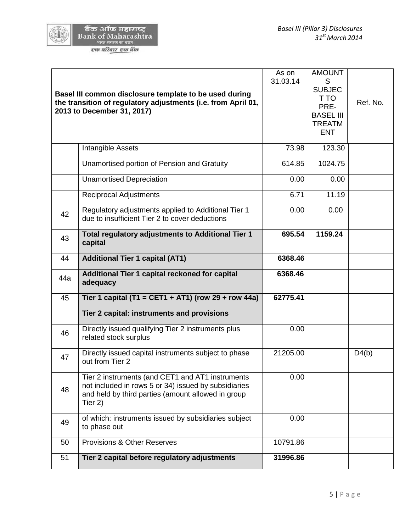|                     | बैक ऑफ महाराष्ट्र          |
|---------------------|----------------------------|
|                     | <b>Bank of Maharashtra</b> |
| भारत सरकार का उद्यम |                            |

एक परि<u>वार एक बैं</u>क

|     | Basel III common disclosure template to be used during<br>the transition of regulatory adjustments (i.e. from April 01,<br>2013 to December 31, 2017)                     | As on<br>31.03.14 | <b>AMOUNT</b><br>S<br><b>SUBJEC</b><br>T TO<br>PRE-<br><b>BASEL III</b><br><b>TREATM</b><br><b>ENT</b> | Ref. No. |
|-----|---------------------------------------------------------------------------------------------------------------------------------------------------------------------------|-------------------|--------------------------------------------------------------------------------------------------------|----------|
|     | Intangible Assets                                                                                                                                                         | 73.98             | 123.30                                                                                                 |          |
|     | Unamortised portion of Pension and Gratuity                                                                                                                               | 614.85            | 1024.75                                                                                                |          |
|     | <b>Unamortised Depreciation</b>                                                                                                                                           | 0.00              | 0.00                                                                                                   |          |
|     | <b>Reciprocal Adjustments</b>                                                                                                                                             | 6.71              | 11.19                                                                                                  |          |
| 42  | Regulatory adjustments applied to Additional Tier 1<br>due to insufficient Tier 2 to cover deductions                                                                     | 0.00              | 0.00                                                                                                   |          |
| 43  | Total regulatory adjustments to Additional Tier 1<br>capital                                                                                                              | 695.54            | 1159.24                                                                                                |          |
| 44  | <b>Additional Tier 1 capital (AT1)</b>                                                                                                                                    | 6368.46           |                                                                                                        |          |
| 44a | Additional Tier 1 capital reckoned for capital<br>adequacy                                                                                                                | 6368.46           |                                                                                                        |          |
| 45  | Tier 1 capital (T1 = CET1 + AT1) (row 29 + row 44a)                                                                                                                       | 62775.41          |                                                                                                        |          |
|     | Tier 2 capital: instruments and provisions                                                                                                                                |                   |                                                                                                        |          |
| 46  | Directly issued qualifying Tier 2 instruments plus<br>related stock surplus                                                                                               | 0.00              |                                                                                                        |          |
| 47  | Directly issued capital instruments subject to phase<br>out from Tier 2                                                                                                   | 21205.00          |                                                                                                        | D4(b)    |
| 48  | Tier 2 instruments (and CET1 and AT1 instruments<br>not included in rows 5 or 34) issued by subsidiaries<br>and held by third parties (amount allowed in group<br>Tier 2) | 0.00              |                                                                                                        |          |
| 49  | of which: instruments issued by subsidiaries subject<br>to phase out                                                                                                      | 0.00              |                                                                                                        |          |
| 50  | Provisions & Other Reserves                                                                                                                                               | 10791.86          |                                                                                                        |          |
| 51  | Tier 2 capital before regulatory adjustments                                                                                                                              | 31996.86          |                                                                                                        |          |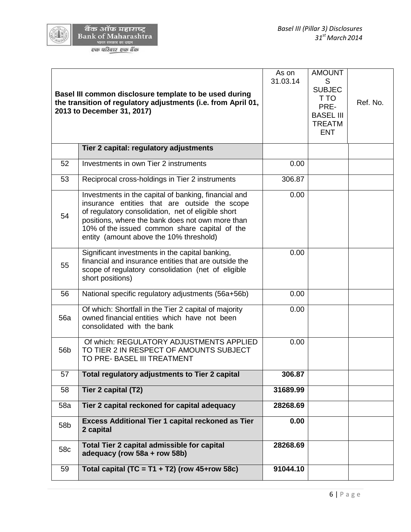| बैंक ऑफ महाराष्ट्र         |  |
|----------------------------|--|
| <b>Bank of Maharashtra</b> |  |
| भारत सरकार का उद्यम        |  |
|                            |  |

एक परिवार एक बैंक

|                 | Basel III common disclosure template to be used during<br>the transition of regulatory adjustments (i.e. from April 01,<br>2013 to December 31, 2017)                                                                                                                                                       | As on<br>31.03.14 | <b>AMOUNT</b><br>S<br><b>SUBJEC</b><br>T TO<br>PRE-<br><b>BASEL III</b><br><b>TREATM</b><br><b>ENT</b> | Ref. No. |
|-----------------|-------------------------------------------------------------------------------------------------------------------------------------------------------------------------------------------------------------------------------------------------------------------------------------------------------------|-------------------|--------------------------------------------------------------------------------------------------------|----------|
|                 | Tier 2 capital: regulatory adjustments                                                                                                                                                                                                                                                                      |                   |                                                                                                        |          |
| 52              | Investments in own Tier 2 instruments                                                                                                                                                                                                                                                                       | 0.00              |                                                                                                        |          |
| 53              | Reciprocal cross-holdings in Tier 2 instruments                                                                                                                                                                                                                                                             | 306.87            |                                                                                                        |          |
| 54              | Investments in the capital of banking, financial and<br>insurance entities that are outside the scope<br>of regulatory consolidation, net of eligible short<br>positions, where the bank does not own more than<br>10% of the issued common share capital of the<br>entity (amount above the 10% threshold) | 0.00              |                                                                                                        |          |
| 55              | Significant investments in the capital banking,<br>financial and insurance entities that are outside the<br>scope of regulatory consolidation (net of eligible<br>short positions)                                                                                                                          | 0.00              |                                                                                                        |          |
| 56              | National specific regulatory adjustments (56a+56b)                                                                                                                                                                                                                                                          | 0.00              |                                                                                                        |          |
| 56a             | Of which: Shortfall in the Tier 2 capital of majority<br>owned financial entities which have not been<br>consolidated with the bank                                                                                                                                                                         | 0.00              |                                                                                                        |          |
| 56b             | Of which: REGULATORY ADJUSTMENTS APPLIED<br>TO TIER 2 IN RESPECT OF AMOUNTS SUBJECT<br>TO PRE- BASEL III TREATMENT                                                                                                                                                                                          | 0.00              |                                                                                                        |          |
| 57              | Total regulatory adjustments to Tier 2 capital                                                                                                                                                                                                                                                              | 306.87            |                                                                                                        |          |
| 58              | Tier 2 capital (T2)                                                                                                                                                                                                                                                                                         | 31689.99          |                                                                                                        |          |
| 58a             | Tier 2 capital reckoned for capital adequacy                                                                                                                                                                                                                                                                | 28268.69          |                                                                                                        |          |
| 58 <sub>b</sub> | <b>Excess Additional Tier 1 capital reckoned as Tier</b><br>2 capital                                                                                                                                                                                                                                       | 0.00              |                                                                                                        |          |
| 58c             | Total Tier 2 capital admissible for capital<br>adequacy (row 58a + row 58b)                                                                                                                                                                                                                                 | 28268.69          |                                                                                                        |          |
| 59              | Total capital (TC = T1 + T2) (row $45+row 58c$ )                                                                                                                                                                                                                                                            | 91044.10          |                                                                                                        |          |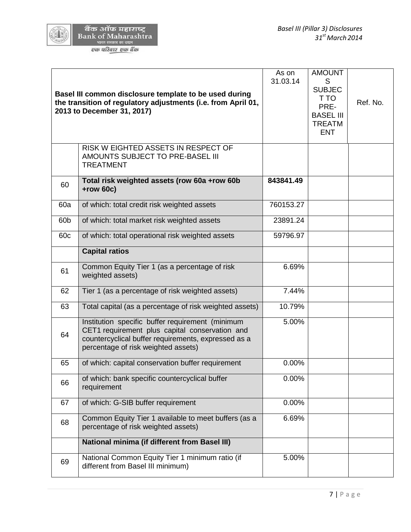|                 | Basel III common disclosure template to be used during<br>the transition of regulatory adjustments (i.e. from April 01,<br>2013 to December 31, 2017)                                            | As on<br>31.03.14 | <b>AMOUNT</b><br>S<br><b>SUBJEC</b><br>T TO<br>PRE-<br><b>BASEL III</b><br><b>TREATM</b><br><b>ENT</b> | Ref. No. |
|-----------------|--------------------------------------------------------------------------------------------------------------------------------------------------------------------------------------------------|-------------------|--------------------------------------------------------------------------------------------------------|----------|
|                 | RISK W EIGHTED ASSETS IN RESPECT OF<br>AMOUNTS SUBJECT TO PRE-BASEL III<br><b>TREATMENT</b>                                                                                                      |                   |                                                                                                        |          |
| 60              | Total risk weighted assets (row 60a +row 60b<br>$+row$ 60 $c)$                                                                                                                                   | 843841.49         |                                                                                                        |          |
| 60a             | of which: total credit risk weighted assets                                                                                                                                                      | 760153.27         |                                                                                                        |          |
| 60 <sub>b</sub> | of which: total market risk weighted assets                                                                                                                                                      | 23891.24          |                                                                                                        |          |
| 60c             | of which: total operational risk weighted assets                                                                                                                                                 | 59796.97          |                                                                                                        |          |
|                 | <b>Capital ratios</b>                                                                                                                                                                            |                   |                                                                                                        |          |
| 61              | Common Equity Tier 1 (as a percentage of risk<br>weighted assets)                                                                                                                                | 6.69%             |                                                                                                        |          |
| 62              | Tier 1 (as a percentage of risk weighted assets)                                                                                                                                                 | 7.44%             |                                                                                                        |          |
| 63              | Total capital (as a percentage of risk weighted assets)                                                                                                                                          | 10.79%            |                                                                                                        |          |
| 64              | Institution specific buffer requirement (minimum<br>CET1 requirement plus capital conservation and<br>countercyclical buffer requirements, expressed as a<br>percentage of risk weighted assets) | 5.00%             |                                                                                                        |          |
| 65              | of which: capital conservation buffer requirement                                                                                                                                                | 0.00%             |                                                                                                        |          |
| 66              | of which: bank specific countercyclical buffer<br>requirement                                                                                                                                    | 0.00%             |                                                                                                        |          |
| 67              | of which: G-SIB buffer requirement                                                                                                                                                               | 0.00%             |                                                                                                        |          |
| 68              | Common Equity Tier 1 available to meet buffers (as a<br>percentage of risk weighted assets)                                                                                                      | 6.69%             |                                                                                                        |          |
|                 | <b>National minima (if different from Basel III)</b>                                                                                                                                             |                   |                                                                                                        |          |
| 69              | National Common Equity Tier 1 minimum ratio (if<br>different from Basel III minimum)                                                                                                             | 5.00%             |                                                                                                        |          |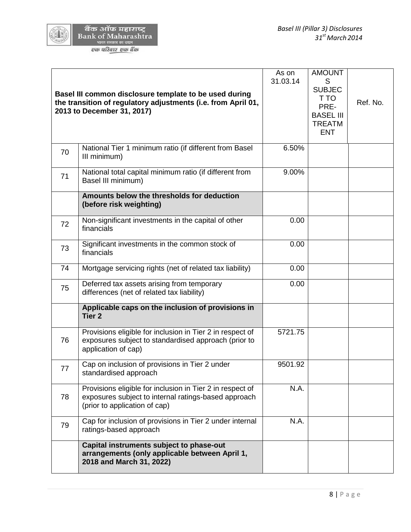

|    | Basel III common disclosure template to be used during<br>the transition of regulatory adjustments (i.e. from April 01,<br>2013 to December 31, 2017) | As on<br>31.03.14 | <b>AMOUNT</b><br>S<br><b>SUBJEC</b><br>T TO<br>PRE-<br><b>BASEL III</b><br><b>TREATM</b><br><b>ENT</b> | Ref. No. |
|----|-------------------------------------------------------------------------------------------------------------------------------------------------------|-------------------|--------------------------------------------------------------------------------------------------------|----------|
| 70 | National Tier 1 minimum ratio (if different from Basel<br>III minimum)                                                                                | 6.50%             |                                                                                                        |          |
| 71 | National total capital minimum ratio (if different from<br>Basel III minimum)                                                                         | 9.00%             |                                                                                                        |          |
|    | Amounts below the thresholds for deduction<br>(before risk weighting)                                                                                 |                   |                                                                                                        |          |
| 72 | Non-significant investments in the capital of other<br>financials                                                                                     | 0.00              |                                                                                                        |          |
| 73 | Significant investments in the common stock of<br>financials                                                                                          | 0.00              |                                                                                                        |          |
| 74 | Mortgage servicing rights (net of related tax liability)                                                                                              | 0.00              |                                                                                                        |          |
| 75 | Deferred tax assets arising from temporary<br>differences (net of related tax liability)                                                              | 0.00              |                                                                                                        |          |
|    | Applicable caps on the inclusion of provisions in<br>Tier <sub>2</sub>                                                                                |                   |                                                                                                        |          |
| 76 | Provisions eligible for inclusion in Tier 2 in respect of<br>exposures subject to standardised approach (prior to<br>application of cap)              | 5721.75           |                                                                                                        |          |
| 77 | Cap on inclusion of provisions in Tier 2 under<br>standardised approach                                                                               | 9501.92           |                                                                                                        |          |
| 78 | Provisions eligible for inclusion in Tier 2 in respect of<br>exposures subject to internal ratings-based approach<br>(prior to application of cap)    | N.A.              |                                                                                                        |          |
| 79 | Cap for inclusion of provisions in Tier 2 under internal<br>ratings-based approach                                                                    | N.A.              |                                                                                                        |          |
|    | Capital instruments subject to phase-out<br>arrangements (only applicable between April 1,<br>2018 and March 31, 2022)                                |                   |                                                                                                        |          |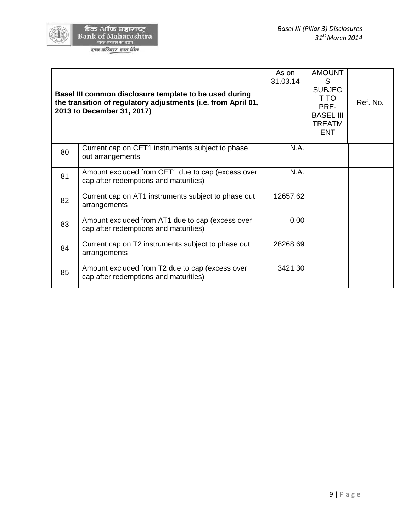Г

|    | Basel III common disclosure template to be used during<br>the transition of regulatory adjustments (i.e. from April 01,<br>2013 to December 31, 2017) | As on<br>31.03.14 | <b>AMOUNT</b><br>S<br><b>SUBJEC</b><br>T TO<br>PRE-<br><b>BASEL III</b><br><b>TREATM</b><br><b>ENT</b> | Ref. No. |
|----|-------------------------------------------------------------------------------------------------------------------------------------------------------|-------------------|--------------------------------------------------------------------------------------------------------|----------|
| 80 | Current cap on CET1 instruments subject to phase<br>out arrangements                                                                                  | N.A.              |                                                                                                        |          |
| 81 | Amount excluded from CET1 due to cap (excess over<br>cap after redemptions and maturities)                                                            | N.A.              |                                                                                                        |          |
| 82 | Current cap on AT1 instruments subject to phase out<br>arrangements                                                                                   | 12657.62          |                                                                                                        |          |
| 83 | Amount excluded from AT1 due to cap (excess over<br>cap after redemptions and maturities)                                                             | 0.00              |                                                                                                        |          |
| 84 | Current cap on T2 instruments subject to phase out<br>arrangements                                                                                    | 28268.69          |                                                                                                        |          |
| 85 | Amount excluded from T2 due to cap (excess over<br>cap after redemptions and maturities)                                                              | 3421.30           |                                                                                                        |          |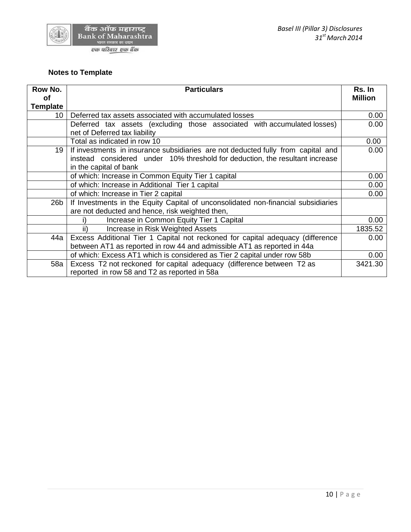

## **Notes to Template**

| Row No.         | <b>Particulars</b>                                                                |                |
|-----------------|-----------------------------------------------------------------------------------|----------------|
| оf              |                                                                                   | <b>Million</b> |
| <b>Template</b> |                                                                                   |                |
| 10 <sup>1</sup> | Deferred tax assets associated with accumulated losses                            | 0.00           |
|                 | Deferred tax assets (excluding those associated with accumulated losses)          | 0.00           |
|                 | net of Deferred tax liability                                                     |                |
|                 | Total as indicated in row 10                                                      | 0.00           |
| 19              | If investments in insurance subsidiaries are not deducted fully from capital and  | 0.00           |
|                 | instead considered under 10% threshold for deduction, the resultant increase      |                |
|                 | in the capital of bank                                                            |                |
|                 | of which: Increase in Common Equity Tier 1 capital                                | 0.00           |
|                 | of which: Increase in Additional Tier 1 capital                                   | 0.00           |
|                 | of which: Increase in Tier 2 capital                                              | 0.00           |
| 26 <sub>b</sub> | If Investments in the Equity Capital of unconsolidated non-financial subsidiaries |                |
|                 | are not deducted and hence, risk weighted then,                                   |                |
|                 | Increase in Common Equity Tier 1 Capital                                          | 0.00           |
|                 | Increase in Risk Weighted Assets<br>ii)                                           | 1835.52        |
| 44a             | Excess Additional Tier 1 Capital not reckoned for capital adequacy (difference    | 0.00           |
|                 | between AT1 as reported in row 44 and admissible AT1 as reported in 44a           |                |
|                 | of which: Excess AT1 which is considered as Tier 2 capital under row 58b          | 0.00           |
| 58a             | Excess T2 not reckoned for capital adequacy (difference between T2 as             | 3421.30        |
|                 | reported in row 58 and T2 as reported in 58a                                      |                |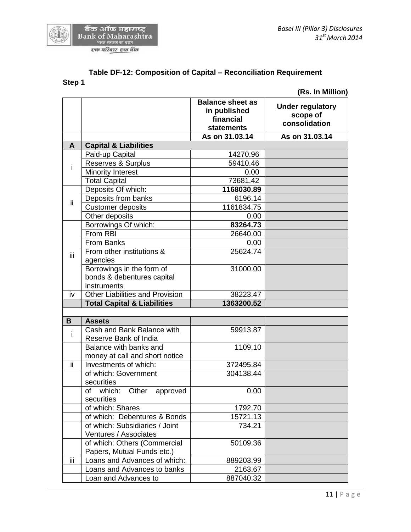

| Sten |
|------|
|------|

**B Assets**

|              |                                                         |                                                                           | (Rs. In Million)                                     |
|--------------|---------------------------------------------------------|---------------------------------------------------------------------------|------------------------------------------------------|
|              |                                                         | <b>Balance sheet as</b><br>in published<br>financial<br><b>statements</b> | <b>Under regulatory</b><br>scope of<br>consolidation |
|              |                                                         | As on 31.03.14                                                            | As on 31.03.14                                       |
| $\mathsf{A}$ | <b>Capital &amp; Liabilities</b>                        |                                                                           |                                                      |
|              | Paid-up Capital                                         | 14270.96                                                                  |                                                      |
| i.           | Reserves & Surplus                                      | 59410.46                                                                  |                                                      |
|              | <b>Minority Interest</b>                                | 0.00                                                                      |                                                      |
|              | <b>Total Capital</b>                                    | 73681.42                                                                  |                                                      |
| ii           | Deposits Of which:                                      | 1168030.89                                                                |                                                      |
|              | Deposits from banks                                     | 6196.14                                                                   |                                                      |
|              | <b>Customer deposits</b>                                | 1161834.75                                                                |                                                      |
|              | Other deposits                                          | 0.00                                                                      |                                                      |
|              | Borrowings Of which:                                    | 83264.73                                                                  |                                                      |
|              | From RBI                                                | 26640.00                                                                  |                                                      |
|              | <b>From Banks</b>                                       | 0.00                                                                      |                                                      |
| iii.         | From other institutions &                               | 25624.74                                                                  |                                                      |
|              | agencies                                                |                                                                           |                                                      |
|              | Borrowings in the form of                               | 31000.00                                                                  |                                                      |
|              | bonds & debentures capital                              |                                                                           |                                                      |
|              | instruments                                             |                                                                           |                                                      |
| iv           | <b>Other Liabilities and Provision</b>                  | 38223.47                                                                  |                                                      |
|              | <b>Total Capital &amp; Liabilities</b>                  | 1363200.52                                                                |                                                      |
|              |                                                         |                                                                           |                                                      |
| B            | <b>Assets</b>                                           |                                                                           |                                                      |
| $\mathbf{i}$ | Cash and Bank Balance with                              | 59913.87                                                                  |                                                      |
|              | Reserve Bank of India                                   |                                                                           |                                                      |
|              | Balance with banks and                                  | 1109.10                                                                   |                                                      |
| ΪÏ           | money at call and short notice<br>Investments of which: | 372495.84                                                                 |                                                      |
|              | of which: Government                                    | 304138.44                                                                 |                                                      |
|              | securities                                              |                                                                           |                                                      |
|              | of which:<br>Other<br>approved                          | 0.00                                                                      |                                                      |
|              | securities                                              |                                                                           |                                                      |
|              | of which: Shares                                        | 1792.70                                                                   |                                                      |
|              | of which: Debentures & Bonds                            | 15721.13                                                                  |                                                      |
|              | of which: Subsidiaries / Joint                          | 734.21                                                                    |                                                      |
|              | Ventures / Associates                                   |                                                                           |                                                      |
|              | of which: Others (Commercial                            | 50109.36                                                                  |                                                      |
|              | Papers, Mutual Funds etc.)                              |                                                                           |                                                      |
| iii          | Loans and Advances of which:                            | 889203.99                                                                 |                                                      |
|              | Loans and Advances to banks                             | 2163.67                                                                   |                                                      |
|              |                                                         |                                                                           |                                                      |

Loan and Advances to 887040.32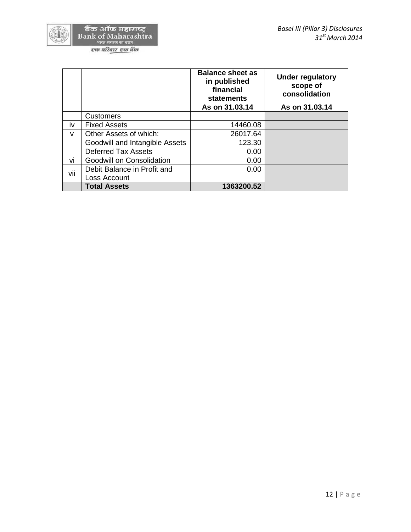

|           |                                | <b>Balance sheet as</b><br>in published<br>financial<br>statements | <b>Under regulatory</b><br>scope of<br>consolidation |
|-----------|--------------------------------|--------------------------------------------------------------------|------------------------------------------------------|
|           |                                | As on 31.03.14                                                     | As on 31.03.14                                       |
|           | <b>Customers</b>               |                                                                    |                                                      |
| <b>iv</b> | <b>Fixed Assets</b>            | 14460.08                                                           |                                                      |
| v         | Other Assets of which:         | 26017.64                                                           |                                                      |
|           | Goodwill and Intangible Assets | 123.30                                                             |                                                      |
|           | <b>Deferred Tax Assets</b>     | 0.00                                                               |                                                      |
| VÌ        | Goodwill on Consolidation      | 0.00                                                               |                                                      |
| vii       | Debit Balance in Profit and    | 0.00                                                               |                                                      |
|           | Loss Account                   |                                                                    |                                                      |
|           | <b>Total Assets</b>            | 1363200.52                                                         |                                                      |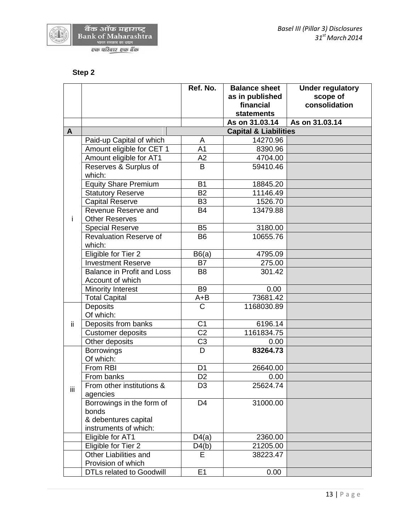

## **Step 2**

| as in published<br>consolidation<br>financial<br><b>statements</b><br>As on 31.03.14<br>As on 31.03.14<br><b>Capital &amp; Liabilities</b><br>A<br>Paid-up Capital of which<br>14270.96<br>A<br>Amount eligible for CET 1<br>A <sub>1</sub><br>8390.96<br>Amount eligible for AT1<br>A <sub>2</sub><br>4704.00<br>Reserves & Surplus of<br>B<br>59410.46<br>which:<br><b>Equity Share Premium</b><br><b>B1</b><br>18845.20<br><b>Statutory Reserve</b><br><b>B2</b><br>11146.49<br>Capital Reserve<br>B <sub>3</sub><br>1526.70<br>Revenue Reserve and<br><b>B4</b><br>13479.88<br><b>Other Reserves</b><br>i<br><b>B5</b><br>3180.00<br><b>Special Reserve</b><br><b>Revaluation Reserve of</b><br><b>B6</b><br>10655.76 |    |        | Ref. No. | <b>Balance sheet</b> | <b>Under regulatory</b> |
|---------------------------------------------------------------------------------------------------------------------------------------------------------------------------------------------------------------------------------------------------------------------------------------------------------------------------------------------------------------------------------------------------------------------------------------------------------------------------------------------------------------------------------------------------------------------------------------------------------------------------------------------------------------------------------------------------------------------------|----|--------|----------|----------------------|-------------------------|
|                                                                                                                                                                                                                                                                                                                                                                                                                                                                                                                                                                                                                                                                                                                           |    |        |          |                      | scope of                |
|                                                                                                                                                                                                                                                                                                                                                                                                                                                                                                                                                                                                                                                                                                                           |    |        |          |                      |                         |
|                                                                                                                                                                                                                                                                                                                                                                                                                                                                                                                                                                                                                                                                                                                           |    |        |          |                      |                         |
|                                                                                                                                                                                                                                                                                                                                                                                                                                                                                                                                                                                                                                                                                                                           |    |        |          |                      |                         |
|                                                                                                                                                                                                                                                                                                                                                                                                                                                                                                                                                                                                                                                                                                                           |    |        |          |                      |                         |
|                                                                                                                                                                                                                                                                                                                                                                                                                                                                                                                                                                                                                                                                                                                           |    |        |          |                      |                         |
|                                                                                                                                                                                                                                                                                                                                                                                                                                                                                                                                                                                                                                                                                                                           |    |        |          |                      |                         |
|                                                                                                                                                                                                                                                                                                                                                                                                                                                                                                                                                                                                                                                                                                                           |    |        |          |                      |                         |
|                                                                                                                                                                                                                                                                                                                                                                                                                                                                                                                                                                                                                                                                                                                           |    |        |          |                      |                         |
|                                                                                                                                                                                                                                                                                                                                                                                                                                                                                                                                                                                                                                                                                                                           |    |        |          |                      |                         |
|                                                                                                                                                                                                                                                                                                                                                                                                                                                                                                                                                                                                                                                                                                                           |    |        |          |                      |                         |
|                                                                                                                                                                                                                                                                                                                                                                                                                                                                                                                                                                                                                                                                                                                           |    |        |          |                      |                         |
|                                                                                                                                                                                                                                                                                                                                                                                                                                                                                                                                                                                                                                                                                                                           |    |        |          |                      |                         |
|                                                                                                                                                                                                                                                                                                                                                                                                                                                                                                                                                                                                                                                                                                                           |    |        |          |                      |                         |
|                                                                                                                                                                                                                                                                                                                                                                                                                                                                                                                                                                                                                                                                                                                           |    |        |          |                      |                         |
|                                                                                                                                                                                                                                                                                                                                                                                                                                                                                                                                                                                                                                                                                                                           |    |        |          |                      |                         |
|                                                                                                                                                                                                                                                                                                                                                                                                                                                                                                                                                                                                                                                                                                                           |    | which: |          |                      |                         |
| Eligible for Tier 2<br>B6(a)<br>4795.09                                                                                                                                                                                                                                                                                                                                                                                                                                                                                                                                                                                                                                                                                   |    |        |          |                      |                         |
| <b>Investment Reserve</b><br><b>B7</b><br>275.00                                                                                                                                                                                                                                                                                                                                                                                                                                                                                                                                                                                                                                                                          |    |        |          |                      |                         |
| <b>Balance in Profit and Loss</b><br>B <sub>8</sub><br>301.42                                                                                                                                                                                                                                                                                                                                                                                                                                                                                                                                                                                                                                                             |    |        |          |                      |                         |
| Account of which                                                                                                                                                                                                                                                                                                                                                                                                                                                                                                                                                                                                                                                                                                          |    |        |          |                      |                         |
| <b>B9</b><br>Minority Interest<br>0.00                                                                                                                                                                                                                                                                                                                                                                                                                                                                                                                                                                                                                                                                                    |    |        |          |                      |                         |
| 73681.42<br><b>Total Capital</b><br>$A + B$                                                                                                                                                                                                                                                                                                                                                                                                                                                                                                                                                                                                                                                                               |    |        |          |                      |                         |
| <b>Deposits</b><br>C<br>1168030.89                                                                                                                                                                                                                                                                                                                                                                                                                                                                                                                                                                                                                                                                                        |    |        |          |                      |                         |
| Of which:                                                                                                                                                                                                                                                                                                                                                                                                                                                                                                                                                                                                                                                                                                                 |    |        |          |                      |                         |
| C <sub>1</sub><br>6196.14<br>ii.<br>Deposits from banks<br>$\overline{C2}$<br>1161834.75                                                                                                                                                                                                                                                                                                                                                                                                                                                                                                                                                                                                                                  |    |        |          |                      |                         |
| <b>Customer deposits</b>                                                                                                                                                                                                                                                                                                                                                                                                                                                                                                                                                                                                                                                                                                  |    |        |          |                      |                         |
| C <sub>3</sub><br>Other deposits<br>0.00<br>83264.73<br><b>Borrowings</b><br>D                                                                                                                                                                                                                                                                                                                                                                                                                                                                                                                                                                                                                                            |    |        |          |                      |                         |
| Of which:                                                                                                                                                                                                                                                                                                                                                                                                                                                                                                                                                                                                                                                                                                                 | Ϊİ |        |          |                      |                         |
| From RBI<br>D <sub>1</sub><br>26640.00                                                                                                                                                                                                                                                                                                                                                                                                                                                                                                                                                                                                                                                                                    |    |        |          |                      |                         |
| D <sub>2</sub><br>From banks<br>0.00                                                                                                                                                                                                                                                                                                                                                                                                                                                                                                                                                                                                                                                                                      |    |        |          |                      |                         |
| $\overline{D3}$<br>From other institutions &<br>25624.74                                                                                                                                                                                                                                                                                                                                                                                                                                                                                                                                                                                                                                                                  |    |        |          |                      |                         |
| agencies                                                                                                                                                                                                                                                                                                                                                                                                                                                                                                                                                                                                                                                                                                                  |    |        |          |                      |                         |
| Borrowings in the form of<br>D <sub>4</sub><br>31000.00                                                                                                                                                                                                                                                                                                                                                                                                                                                                                                                                                                                                                                                                   |    |        |          |                      |                         |
| bonds                                                                                                                                                                                                                                                                                                                                                                                                                                                                                                                                                                                                                                                                                                                     |    |        |          |                      |                         |
| & debentures capital                                                                                                                                                                                                                                                                                                                                                                                                                                                                                                                                                                                                                                                                                                      |    |        |          |                      |                         |
| instruments of which:                                                                                                                                                                                                                                                                                                                                                                                                                                                                                                                                                                                                                                                                                                     |    |        |          |                      |                         |
| Eligible for AT1<br>D4(a)<br>2360.00                                                                                                                                                                                                                                                                                                                                                                                                                                                                                                                                                                                                                                                                                      |    |        |          |                      |                         |
| D4(b)<br>Eligible for Tier 2<br>21205.00                                                                                                                                                                                                                                                                                                                                                                                                                                                                                                                                                                                                                                                                                  |    |        |          |                      |                         |
| <b>Other Liabilities and</b><br>E<br>38223.47<br>Provision of which                                                                                                                                                                                                                                                                                                                                                                                                                                                                                                                                                                                                                                                       |    |        |          |                      |                         |
| E1<br><b>DTLs related to Goodwill</b><br>0.00                                                                                                                                                                                                                                                                                                                                                                                                                                                                                                                                                                                                                                                                             |    |        |          |                      |                         |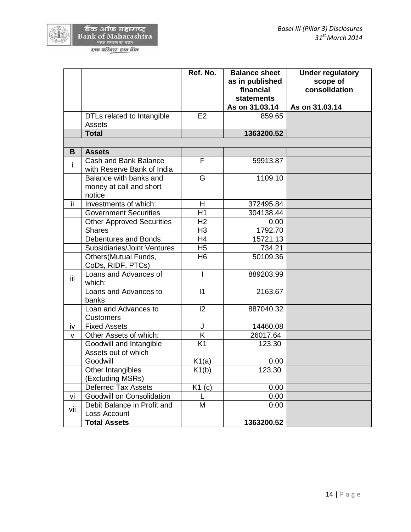┯

Г

|     |                                                             | Ref. No.       | <b>Balance sheet</b><br>as in published<br>financial<br><b>statements</b> | <b>Under regulatory</b><br>scope of<br>consolidation |
|-----|-------------------------------------------------------------|----------------|---------------------------------------------------------------------------|------------------------------------------------------|
|     |                                                             |                | As on 31.03.14                                                            | As on 31.03.14                                       |
|     | DTLs related to Intangible<br>Assets                        | E <sub>2</sub> | 859.65                                                                    |                                                      |
|     | <b>Total</b>                                                |                | 1363200.52                                                                |                                                      |
|     |                                                             |                |                                                                           |                                                      |
| В   | <b>Assets</b>                                               |                |                                                                           |                                                      |
| Ť   | Cash and Bank Balance<br>with Reserve Bank of India         | F              | 59913.87                                                                  |                                                      |
|     | Balance with banks and<br>money at call and short<br>notice | G              | 1109.10                                                                   |                                                      |
| ii. | Investments of which:                                       | H              | 372495.84                                                                 |                                                      |
|     | <b>Government Securities</b>                                | H1             | 304138.44                                                                 |                                                      |
|     | <b>Other Approved Securities</b>                            | H <sub>2</sub> | 0.00                                                                      |                                                      |
|     | <b>Shares</b>                                               | H <sub>3</sub> | 1792.70                                                                   |                                                      |
|     | Debentures and Bonds                                        | H4             | 15721.13                                                                  |                                                      |
|     | <b>Subsidiaries/Joint Ventures</b>                          | H <sub>5</sub> | 734.21                                                                    |                                                      |
|     | Others (Mutual Funds,<br>CoDs, RIDF, PTCs)                  | H <sub>6</sub> | 50109.36                                                                  |                                                      |
| iii | Loans and Advances of<br>which:                             | T              | 889203.99                                                                 |                                                      |
|     | Loans and Advances to<br>banks                              | $\vert$ 1      | 2163.67                                                                   |                                                      |
|     | Loan and Advances to<br><b>Customers</b>                    | 12             | 887040.32                                                                 |                                                      |
| iv  | <b>Fixed Assets</b>                                         | J              | 14460.08                                                                  |                                                      |
| v   | Other Assets of which:                                      | K              | 26017.64                                                                  |                                                      |
|     | Goodwill and Intangible<br>Assets out of which              | K1             | 123.30                                                                    |                                                      |
|     | Goodwill                                                    | K1(a)          | 0.00                                                                      |                                                      |
|     | Other Intangibles<br>(Excluding MSRs)                       | K1(b)          | 123.30                                                                    |                                                      |
|     | Deferred Tax Assets                                         | K1(c)          | 0.00                                                                      |                                                      |
| vi  | Goodwill on Consolidation                                   |                | 0.00                                                                      |                                                      |
| vii | Debit Balance in Profit and<br>Loss Account                 | M              | 0.00                                                                      |                                                      |
|     | <b>Total Assets</b>                                         |                | 1363200.52                                                                |                                                      |